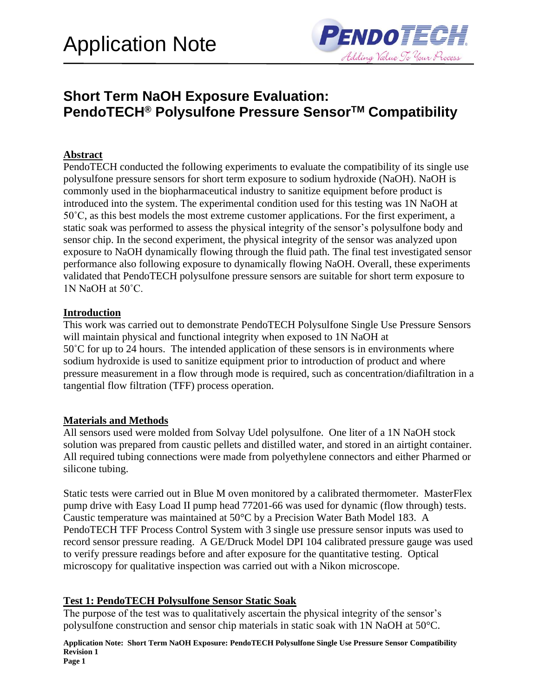

# **Short Term NaOH Exposure Evaluation: PendoTECH® Polysulfone Pressure SensorTM Compatibility**

### **Abstract**

PendoTECH conducted the following experiments to evaluate the compatibility of its single use polysulfone pressure sensors for short term exposure to sodium hydroxide (NaOH). NaOH is commonly used in the biopharmaceutical industry to sanitize equipment before product is introduced into the system. The experimental condition used for this testing was 1N NaOH at 50˚C, as this best models the most extreme customer applications. For the first experiment, a static soak was performed to assess the physical integrity of the sensor's polysulfone body and sensor chip. In the second experiment, the physical integrity of the sensor was analyzed upon exposure to NaOH dynamically flowing through the fluid path. The final test investigated sensor performance also following exposure to dynamically flowing NaOH. Overall, these experiments validated that PendoTECH polysulfone pressure sensors are suitable for short term exposure to 1N NaOH at 50˚C.

### **Introduction**

This work was carried out to demonstrate PendoTECH Polysulfone Single Use Pressure Sensors will maintain physical and functional integrity when exposed to 1N NaOH at 50˚C for up to 24 hours. The intended application of these sensors is in environments where sodium hydroxide is used to sanitize equipment prior to introduction of product and where pressure measurement in a flow through mode is required, such as concentration/diafiltration in a tangential flow filtration (TFF) process operation.

### **Materials and Methods**

All sensors used were molded from Solvay Udel polysulfone. One liter of a 1N NaOH stock solution was prepared from caustic pellets and distilled water, and stored in an airtight container. All required tubing connections were made from polyethylene connectors and either Pharmed or silicone tubing.

Static tests were carried out in Blue M oven monitored by a calibrated thermometer. MasterFlex pump drive with Easy Load II pump head 77201-66 was used for dynamic (flow through) tests. Caustic temperature was maintained at 50°C by a Precision Water Bath Model 183. A PendoTECH TFF Process Control System with 3 single use pressure sensor inputs was used to record sensor pressure reading. A GE/Druck Model DPI 104 calibrated pressure gauge was used to verify pressure readings before and after exposure for the quantitative testing. Optical microscopy for qualitative inspection was carried out with a Nikon microscope.

### **Test 1: PendoTECH Polysulfone Sensor Static Soak**

The purpose of the test was to qualitatively ascertain the physical integrity of the sensor's polysulfone construction and sensor chip materials in static soak with 1N NaOH at 50°C.

**Application Note: Short Term NaOH Exposure: PendoTECH Polysulfone Single Use Pressure Sensor Compatibility Revision 1 Page 1**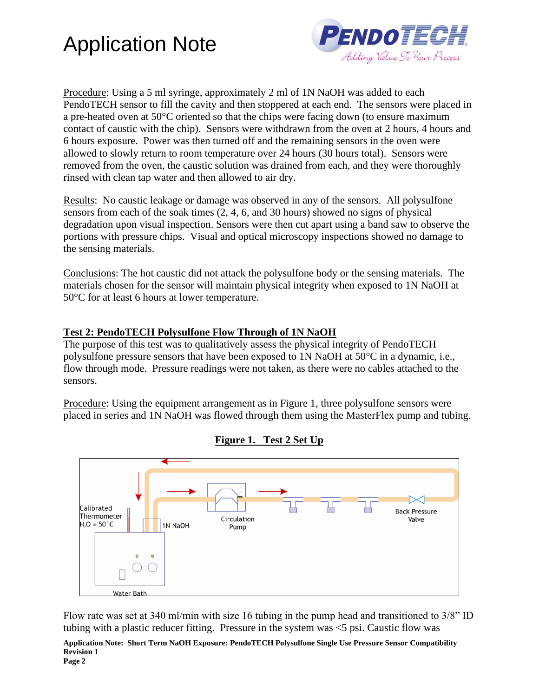



Procedure: Using a 5 ml syringe, approximately 2 ml of 1N NaOH was added to each PendoTECH sensor to fill the cavity and then stoppered at each end. The sensors were placed in a pre-heated oven at 50°C oriented so that the chips were facing down (to ensure maximum contact of caustic with the chip). Sensors were withdrawn from the oven at 2 hours, 4 hours and 6 hours exposure. Power was then turned off and the remaining sensors in the oven were allowed to slowly return to room temperature over 24 hours (30 hours total). Sensors were removed from the oven, the caustic solution was drained from each, and they were thoroughly rinsed with clean tap water and then allowed to air dry.

Results: No caustic leakage or damage was observed in any of the sensors. All polysulfone sensors from each of the soak times (2, 4, 6, and 30 hours) showed no signs of physical degradation upon visual inspection. Sensors were then cut apart using a band saw to observe the portions with pressure chips. Visual and optical microscopy inspections showed no damage to the sensing materials.

Conclusions: The hot caustic did not attack the polysulfone body or the sensing materials. The materials chosen for the sensor will maintain physical integrity when exposed to 1N NaOH at 50°C for at least 6 hours at lower temperature.

### **Test 2: PendoTECH Polysulfone Flow Through of 1N NaOH**

The purpose of this test was to qualitatively assess the physical integrity of PendoTECH polysulfone pressure sensors that have been exposed to 1N NaOH at 50°C in a dynamic, i.e., flow through mode. Pressure readings were not taken, as there were no cables attached to the sensors.

Procedure: Using the equipment arrangement as in Figure 1, three polysulfone sensors were placed in series and 1N NaOH was flowed through them using the MasterFlex pump and tubing.



**Figure 1. Test 2 Set Up**

Flow rate was set at 340 ml/min with size 16 tubing in the pump head and transitioned to 3/8" ID tubing with a plastic reducer fitting. Pressure in the system was <5 psi. Caustic flow was

**Application Note: Short Term NaOH Exposure: PendoTECH Polysulfone Single Use Pressure Sensor Compatibility Revision 1**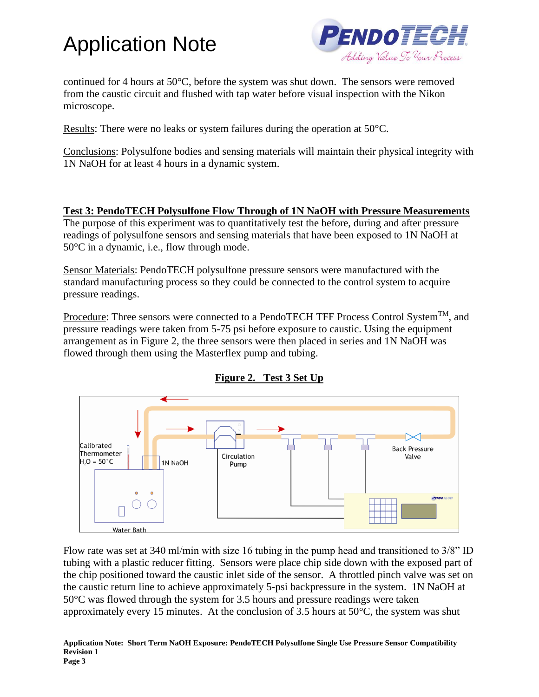

continued for 4 hours at 50°C, before the system was shut down. The sensors were removed from the caustic circuit and flushed with tap water before visual inspection with the Nikon microscope.

Results: There were no leaks or system failures during the operation at 50°C.

Conclusions: Polysulfone bodies and sensing materials will maintain their physical integrity with 1N NaOH for at least 4 hours in a dynamic system.

### **Test 3: PendoTECH Polysulfone Flow Through of 1N NaOH with Pressure Measurements**

The purpose of this experiment was to quantitatively test the before, during and after pressure readings of polysulfone sensors and sensing materials that have been exposed to 1N NaOH at 50°C in a dynamic, i.e., flow through mode.

Sensor Materials: PendoTECH polysulfone pressure sensors were manufactured with the standard manufacturing process so they could be connected to the control system to acquire pressure readings.

Procedure: Three sensors were connected to a PendoTECH TFF Process Control System<sup>TM</sup>, and pressure readings were taken from 5-75 psi before exposure to caustic. Using the equipment arrangement as in Figure 2, the three sensors were then placed in series and 1N NaOH was flowed through them using the Masterflex pump and tubing.





Flow rate was set at 340 ml/min with size 16 tubing in the pump head and transitioned to 3/8" ID tubing with a plastic reducer fitting. Sensors were place chip side down with the exposed part of the chip positioned toward the caustic inlet side of the sensor. A throttled pinch valve was set on the caustic return line to achieve approximately 5-psi backpressure in the system. 1N NaOH at 50°C was flowed through the system for 3.5 hours and pressure readings were taken approximately every 15 minutes. At the conclusion of 3.5 hours at 50°C, the system was shut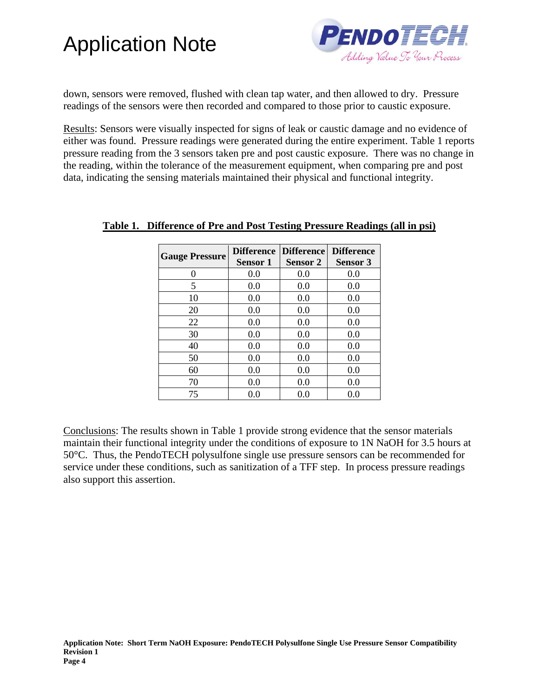

down, sensors were removed, flushed with clean tap water, and then allowed to dry. Pressure readings of the sensors were then recorded and compared to those prior to caustic exposure.

Results: Sensors were visually inspected for signs of leak or caustic damage and no evidence of either was found. Pressure readings were generated during the entire experiment. Table 1 reports pressure reading from the 3 sensors taken pre and post caustic exposure. There was no change in the reading, within the tolerance of the measurement equipment, when comparing pre and post data, indicating the sensing materials maintained their physical and functional integrity.

| <b>Gauge Pressure</b> | <b>Sensor 1</b> | Difference Difference<br><b>Sensor 2</b> | <b>Difference</b><br><b>Sensor 3</b> |
|-----------------------|-----------------|------------------------------------------|--------------------------------------|
| $\Omega$              | 0.0             | 0.0                                      | 0.0                                  |
| 5                     | 0.0             | 0.0                                      | 0.0                                  |
| 10                    | 0.0             | 0.0                                      | 0.0                                  |
| 20                    | 0.0             | 0.0                                      | 0.0                                  |
| 22                    | 0.0             | 0.0                                      | 0.0                                  |
| 30                    | 0.0             | 0.0                                      | 0.0                                  |
| 40                    | 0.0             | 0.0                                      | 0.0                                  |
| 50                    | 0.0             | 0.0                                      | 0.0                                  |
| 60                    | 0.0             | 0.0                                      | 0.0                                  |
| 70                    | 0.0             | 0.0                                      | 0.0                                  |
| 75                    | 0.0             | 0.0                                      | 0.0                                  |

### **Table 1. Difference of Pre and Post Testing Pressure Readings (all in psi)**

Conclusions: The results shown in Table 1 provide strong evidence that the sensor materials maintain their functional integrity under the conditions of exposure to 1N NaOH for 3.5 hours at 50°C. Thus, the PendoTECH polysulfone single use pressure sensors can be recommended for service under these conditions, such as sanitization of a TFF step. In process pressure readings also support this assertion.